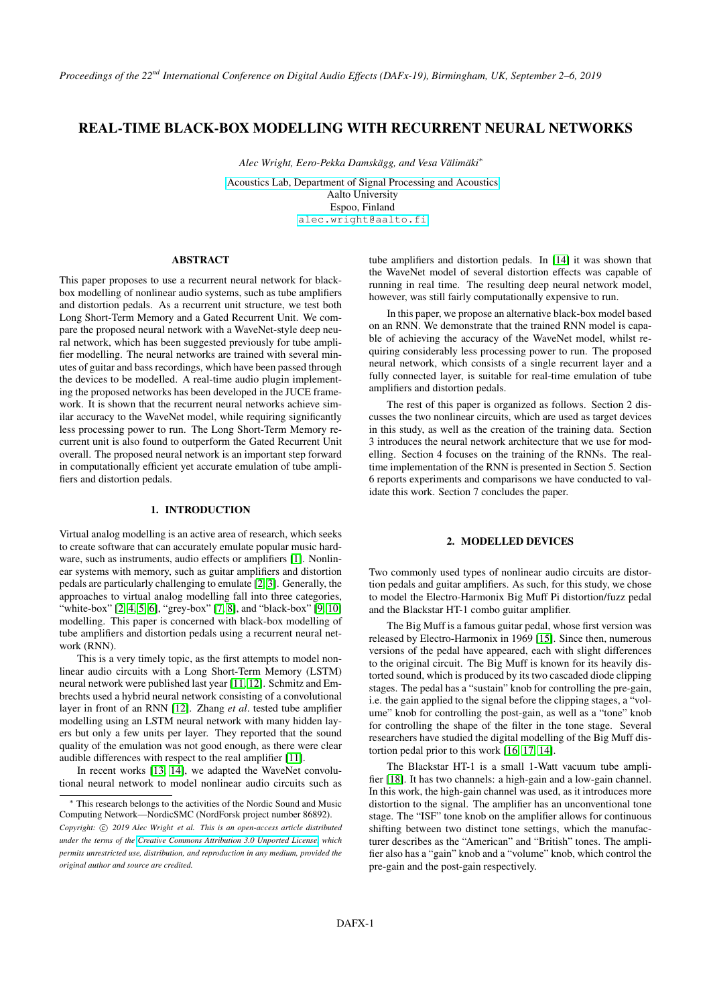# REAL-TIME BLACK-BOX MODELLING WITH RECURRENT NEURAL NETWORKS

*Alec Wright, Eero-Pekka Damskägg, and Vesa Välimäki*<sup>∗</sup>

[Acoustics Lab, Department of Signal Processing and Acoustics](https://www.aalto.fi/aalto-acoustics-lab) Aalto University Espoo, Finland [alec.wright@aalto.fi](mailto:alec.wright@aalto.fi)

## ABSTRACT

This paper proposes to use a recurrent neural network for blackbox modelling of nonlinear audio systems, such as tube amplifiers and distortion pedals. As a recurrent unit structure, we test both Long Short-Term Memory and a Gated Recurrent Unit. We compare the proposed neural network with a WaveNet-style deep neural network, which has been suggested previously for tube amplifier modelling. The neural networks are trained with several minutes of guitar and bass recordings, which have been passed through the devices to be modelled. A real-time audio plugin implementing the proposed networks has been developed in the JUCE framework. It is shown that the recurrent neural networks achieve similar accuracy to the WaveNet model, while requiring significantly less processing power to run. The Long Short-Term Memory recurrent unit is also found to outperform the Gated Recurrent Unit overall. The proposed neural network is an important step forward in computationally efficient yet accurate emulation of tube amplifiers and distortion pedals.

### 1. INTRODUCTION

Virtual analog modelling is an active area of research, which seeks to create software that can accurately emulate popular music hardware, such as instruments, audio effects or amplifiers [\[1\]](#page-6-0). Nonlinear systems with memory, such as guitar amplifiers and distortion pedals are particularly challenging to emulate [\[2,](#page-6-1) [3\]](#page-6-2). Generally, the approaches to virtual analog modelling fall into three categories, "white-box" [\[2,](#page-6-1) [4,](#page-6-3) [5,](#page-6-4) [6\]](#page-6-5), "grey-box" [\[7,](#page-6-6) [8\]](#page-6-7), and "black-box" [\[9,](#page-6-8) [10\]](#page-6-9) modelling. This paper is concerned with black-box modelling of tube amplifiers and distortion pedals using a recurrent neural network (RNN).

This is a very timely topic, as the first attempts to model nonlinear audio circuits with a Long Short-Term Memory (LSTM) neural network were published last year [\[11,](#page-6-10) [12\]](#page-6-11). Schmitz and Embrechts used a hybrid neural network consisting of a convolutional layer in front of an RNN [\[12\]](#page-6-11). Zhang *et al*. tested tube amplifier modelling using an LSTM neural network with many hidden layers but only a few units per layer. They reported that the sound quality of the emulation was not good enough, as there were clear audible differences with respect to the real amplifier [\[11\]](#page-6-10).

In recent works [\[13,](#page-6-12) [14\]](#page-6-13), we adapted the WaveNet convolutional neural network to model nonlinear audio circuits such as tube amplifiers and distortion pedals. In [\[14\]](#page-6-13) it was shown that the WaveNet model of several distortion effects was capable of running in real time. The resulting deep neural network model, however, was still fairly computationally expensive to run.

In this paper, we propose an alternative black-box model based on an RNN. We demonstrate that the trained RNN model is capable of achieving the accuracy of the WaveNet model, whilst requiring considerably less processing power to run. The proposed neural network, which consists of a single recurrent layer and a fully connected layer, is suitable for real-time emulation of tube amplifiers and distortion pedals.

The rest of this paper is organized as follows. Section 2 discusses the two nonlinear circuits, which are used as target devices in this study, as well as the creation of the training data. Section 3 introduces the neural network architecture that we use for modelling. Section 4 focuses on the training of the RNNs. The realtime implementation of the RNN is presented in Section 5. Section 6 reports experiments and comparisons we have conducted to validate this work. Section 7 concludes the paper.

### 2. MODELLED DEVICES

Two commonly used types of nonlinear audio circuits are distortion pedals and guitar amplifiers. As such, for this study, we chose to model the Electro-Harmonix Big Muff Pi distortion/fuzz pedal and the Blackstar HT-1 combo guitar amplifier.

The Big Muff is a famous guitar pedal, whose first version was released by Electro-Harmonix in 1969 [\[15\]](#page-6-14). Since then, numerous versions of the pedal have appeared, each with slight differences to the original circuit. The Big Muff is known for its heavily distorted sound, which is produced by its two cascaded diode clipping stages. The pedal has a "sustain" knob for controlling the pre-gain, i.e. the gain applied to the signal before the clipping stages, a "volume" knob for controlling the post-gain, as well as a "tone" knob for controlling the shape of the filter in the tone stage. Several researchers have studied the digital modelling of the Big Muff distortion pedal prior to this work [\[16,](#page-6-15) [17,](#page-6-16) [14\]](#page-6-13).

The Blackstar HT-1 is a small 1-Watt vacuum tube amplifier [\[18\]](#page-6-17). It has two channels: a high-gain and a low-gain channel. In this work, the high-gain channel was used, as it introduces more distortion to the signal. The amplifier has an unconventional tone stage. The "ISF" tone knob on the amplifier allows for continuous shifting between two distinct tone settings, which the manufacturer describes as the "American" and "British" tones. The amplifier also has a "gain" knob and a "volume" knob, which control the pre-gain and the post-gain respectively.

<sup>∗</sup> This research belongs to the activities of the Nordic Sound and Music Computing Network—NordicSMC (NordForsk project number 86892).

Copyright:  $\odot$  2019 Alec Wright et al. This is an open-access article distributed *under the terms of the [Creative Commons Attribution 3.0 Unported License,](http://creativecommons.org/licenses/by/3.0/) which permits unrestricted use, distribution, and reproduction in any medium, provided the original author and source are credited.*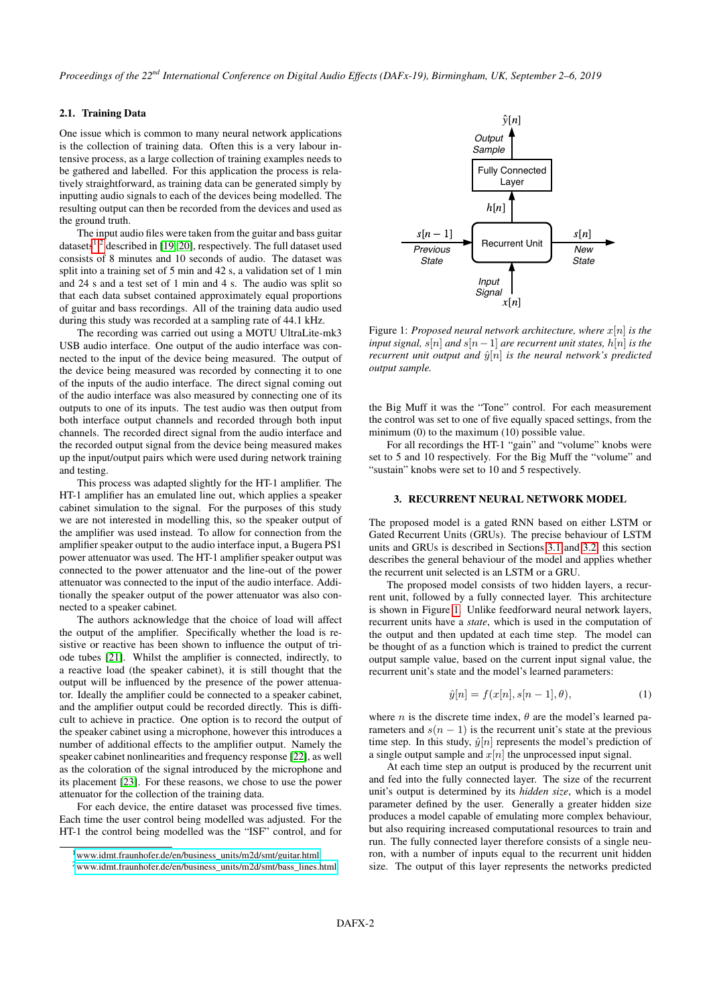*Proceedings of the 22nd International Conference on Digital Audio Effects (DAFx-19), Birmingham, UK, September 2–6, 2019*

## 2.1. Training Data

One issue which is common to many neural network applications is the collection of training data. Often this is a very labour intensive process, as a large collection of training examples needs to be gathered and labelled. For this application the process is relatively straightforward, as training data can be generated simply by inputting audio signals to each of the devices being modelled. The resulting output can then be recorded from the devices and used as the ground truth.

The input audio files were taken from the guitar and bass guitar datasets<sup>[1](#page-1-0)2</sup> described in [19, [2](#page-1-1)0], respectively. The full dataset used consists of 8 minutes and 10 seconds of audio. The dataset was split into a training set of 5 min and 42 s, a validation set of 1 min and 24 s and a test set of 1 min and 4 s. The audio was split so that each data subset contained approximately equal proportions of guitar and bass recordings. All of the training data audio used during this study was recorded at a sampling rate of 44.1 kHz.

The recording was carried out using a MOTU UltraLite-mk3 USB audio interface. One output of the audio interface was connected to the input of the device being measured. The output of the device being measured was recorded by connecting it to one of the inputs of the audio interface. The direct signal coming out of the audio interface was also measured by connecting one of its outputs to one of its inputs. The test audio was then output from both interface output channels and recorded through both input channels. The recorded direct signal from the audio interface and the recorded output signal from the device being measured makes up the input/output pairs which were used during network training and testing.

This process was adapted slightly for the HT-1 amplifier. The HT-1 amplifier has an emulated line out, which applies a speaker cabinet simulation to the signal. For the purposes of this study we are not interested in modelling this, so the speaker output of the amplifier was used instead. To allow for connection from the amplifier speaker output to the audio interface input, a Bugera PS1 power attenuator was used. The HT-1 amplifier speaker output was connected to the power attenuator and the line-out of the power attenuator was connected to the input of the audio interface. Additionally the speaker output of the power attenuator was also connected to a speaker cabinet.

The authors acknowledge that the choice of load will affect the output of the amplifier. Specifically whether the load is resistive or reactive has been shown to influence the output of triode tubes [\[21\]](#page-6-20). Whilst the amplifier is connected, indirectly, to a reactive load (the speaker cabinet), it is still thought that the output will be influenced by the presence of the power attenuator. Ideally the amplifier could be connected to a speaker cabinet, and the amplifier output could be recorded directly. This is difficult to achieve in practice. One option is to record the output of the speaker cabinet using a microphone, however this introduces a number of additional effects to the amplifier output. Namely the speaker cabinet nonlinearities and frequency response [\[22\]](#page-6-21), as well as the coloration of the signal introduced by the microphone and its placement [\[23\]](#page-6-22). For these reasons, we chose to use the power attenuator for the collection of the training data.

For each device, the entire dataset was processed five times. Each time the user control being modelled was adjusted. For the HT-1 the control being modelled was the "ISF" control, and for

<span id="page-1-2"></span>

Figure 1: *Proposed neural network architecture, where* x[n] *is the input signal,*  $s[n]$  *and*  $s[n-1]$  *are recurrent unit states,*  $h[n]$  *is the recurrent unit output and*  $\hat{y}[n]$  *is the neural network's predicted output sample.*

the Big Muff it was the "Tone" control. For each measurement the control was set to one of five equally spaced settings, from the minimum (0) to the maximum (10) possible value.

For all recordings the HT-1 "gain" and "volume" knobs were set to 5 and 10 respectively. For the Big Muff the "volume" and "sustain" knobs were set to 10 and 5 respectively.

## <span id="page-1-3"></span>3. RECURRENT NEURAL NETWORK MODEL

The proposed model is a gated RNN based on either LSTM or Gated Recurrent Units (GRUs). The precise behaviour of LSTM units and GRUs is described in Sections [3.1](#page-2-0) and [3.2,](#page-2-1) this section describes the general behaviour of the model and applies whether the recurrent unit selected is an LSTM or a GRU.

The proposed model consists of two hidden layers, a recurrent unit, followed by a fully connected layer. This architecture is shown in Figure [1.](#page-1-2) Unlike feedforward neural network layers, recurrent units have a *state*, which is used in the computation of the output and then updated at each time step. The model can be thought of as a function which is trained to predict the current output sample value, based on the current input signal value, the recurrent unit's state and the model's learned parameters:

$$
\hat{y}[n] = f(x[n], s[n-1], \theta), \tag{1}
$$

where *n* is the discrete time index,  $\theta$  are the model's learned parameters and  $s(n - 1)$  is the recurrent unit's state at the previous time step. In this study,  $\hat{y}[n]$  represents the model's prediction of a single output sample and  $x[n]$  the unprocessed input signal.

At each time step an output is produced by the recurrent unit and fed into the fully connected layer. The size of the recurrent unit's output is determined by its *hidden size*, which is a model parameter defined by the user. Generally a greater hidden size produces a model capable of emulating more complex behaviour, but also requiring increased computational resources to train and run. The fully connected layer therefore consists of a single neuron, with a number of inputs equal to the recurrent unit hidden size. The output of this layer represents the networks predicted

<span id="page-1-0"></span> $1$ [www.idmt.fraunhofer.de/en/business\\_units/m2d/smt/guitar.html](www.idmt.fraunhofer.de/en/business_units/m2d/smt/guitar.html)

<span id="page-1-1"></span><sup>2</sup>[www.idmt.fraunhofer.de/en/business\\_units/m2d/smt/bass\\_lines.html](www.idmt.fraunhofer.de/en/business_units/m2d/smt/bass_lines.html)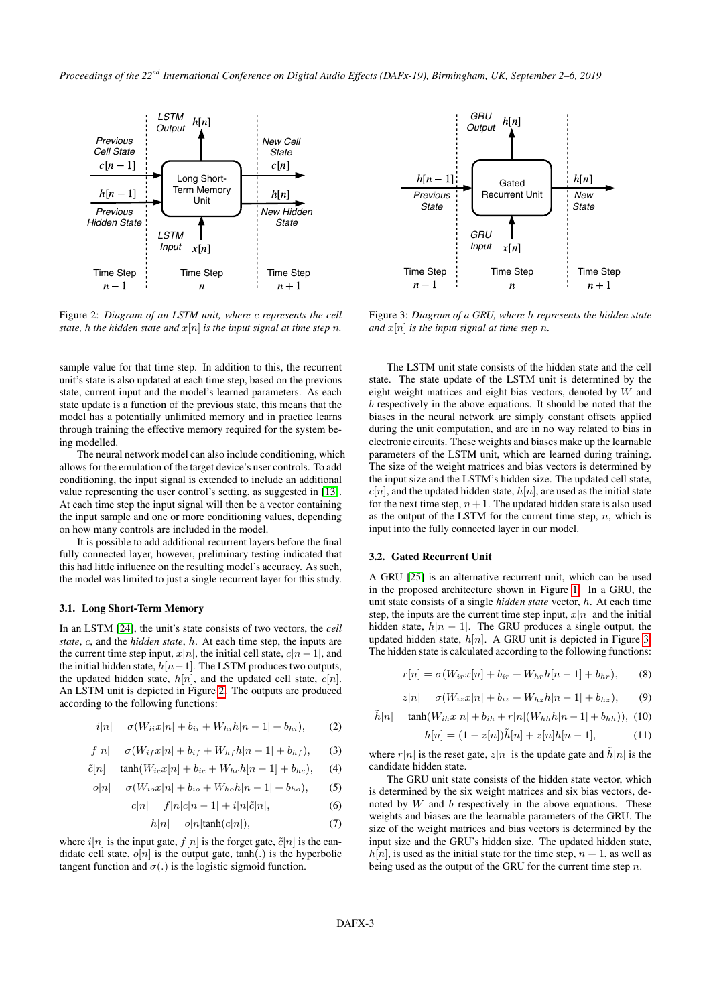<span id="page-2-2"></span>

Figure 2: *Diagram of an LSTM unit, where* c *represents the cell state,* h *the hidden state and*  $x[n]$  *is the input signal at time step n.* 

sample value for that time step. In addition to this, the recurrent unit's state is also updated at each time step, based on the previous state, current input and the model's learned parameters. As each state update is a function of the previous state, this means that the model has a potentially unlimited memory and in practice learns through training the effective memory required for the system being modelled.

The neural network model can also include conditioning, which allows for the emulation of the target device's user controls. To add conditioning, the input signal is extended to include an additional value representing the user control's setting, as suggested in [\[13\]](#page-6-12). At each time step the input signal will then be a vector containing the input sample and one or more conditioning values, depending on how many controls are included in the model.

It is possible to add additional recurrent layers before the final fully connected layer, however, preliminary testing indicated that this had little influence on the resulting model's accuracy. As such, the model was limited to just a single recurrent layer for this study.

#### <span id="page-2-0"></span>3.1. Long Short-Term Memory

In an LSTM [\[24\]](#page-6-23), the unit's state consists of two vectors, the *cell state*, c, and the *hidden state*, h. At each time step, the inputs are the current time step input,  $x[n]$ , the initial cell state,  $c[n-1]$ , and the initial hidden state,  $h[n-1]$ . The LSTM produces two outputs, the updated hidden state,  $h[n]$ , and the updated cell state,  $c[n]$ . An LSTM unit is depicted in Figure [2.](#page-2-2) The outputs are produced according to the following functions:

<span id="page-2-4"></span>
$$
i[n] = \sigma(W_{ii}x[n] + b_{ii} + W_{hi}h[n-1] + b_{hi}), \tag{2}
$$

$$
f[n] = \sigma(W_{if}x[n] + b_{if} + W_{hf}h[n-1] + b_{hf}),
$$
 (3)

$$
\tilde{c}[n] = \tanh(W_{ic}x[n] + b_{ic} + W_{hc}h[n-1] + b_{hc}),\tag{4}
$$

<span id="page-2-6"></span>
$$
o[n] = \sigma(W_{io}x[n] + b_{io} + W_{ho}h[n-1] + b_{ho}),
$$
 (5)

$$
c[n] = f[n]c[n-1] + i[n]\tilde{c}[n],\tag{6}
$$

<span id="page-2-5"></span>
$$
h[n] = o[n] \tanh(c[n]), \tag{7}
$$

where  $i[n]$  is the input gate,  $f[n]$  is the forget gate,  $\tilde{c}[n]$  is the candidate cell state,  $o[n]$  is the output gate, tanh(.) is the hyperbolic tangent function and  $\sigma(.)$  is the logistic sigmoid function.

<span id="page-2-3"></span>

Figure 3: *Diagram of a GRU, where* h *represents the hidden state and*  $x[n]$  *is the input signal at time step n*.

The LSTM unit state consists of the hidden state and the cell state. The state update of the LSTM unit is determined by the eight weight matrices and eight bias vectors, denoted by W and b respectively in the above equations. It should be noted that the biases in the neural network are simply constant offsets applied during the unit computation, and are in no way related to bias in electronic circuits. These weights and biases make up the learnable parameters of the LSTM unit, which are learned during training. The size of the weight matrices and bias vectors is determined by the input size and the LSTM's hidden size. The updated cell state,  $c[n]$ , and the updated hidden state,  $h[n]$ , are used as the initial state for the next time step,  $n + 1$ . The updated hidden state is also used as the output of the LSTM for the current time step,  $n$ , which is input into the fully connected layer in our model.

### <span id="page-2-1"></span>3.2. Gated Recurrent Unit

A GRU [\[25\]](#page-7-0) is an alternative recurrent unit, which can be used in the proposed architecture shown in Figure [1.](#page-1-2) In a GRU, the unit state consists of a single *hidden state* vector, h. At each time step, the inputs are the current time step input,  $x[n]$  and the initial hidden state,  $h[n-1]$ . The GRU produces a single output, the updated hidden state,  $h[n]$ . A GRU unit is depicted in Figure [3.](#page-2-3) The hidden state is calculated according to the following functions:

$$
r[n] = \sigma(W_{ir}x[n] + b_{ir} + W_{hr}h[n-1] + b_{hr}), \quad (8)
$$

$$
z[n] = \sigma(W_{iz}x[n] + b_{iz} + W_{hz}h[n-1] + b_{hz}), \quad (9)
$$

$$
\tilde{h}[n] = \tanh(W_{ih}x[n] + b_{ih} + r[n](W_{hh}h[n-1] + b_{hh})), \tag{10}
$$

$$
h[n] = (1 - z[n])\tilde{h}[n] + z[n]h[n-1],
$$
\n(11)

where  $r[n]$  is the reset gate,  $z[n]$  is the update gate and  $\tilde{h}[n]$  is the candidate hidden state.

The GRU unit state consists of the hidden state vector, which is determined by the six weight matrices and six bias vectors, denoted by  $W$  and  $b$  respectively in the above equations. These weights and biases are the learnable parameters of the GRU. The size of the weight matrices and bias vectors is determined by the input size and the GRU's hidden size. The updated hidden state,  $h[n]$ , is used as the initial state for the time step,  $n + 1$ , as well as being used as the output of the GRU for the current time step  $n$ .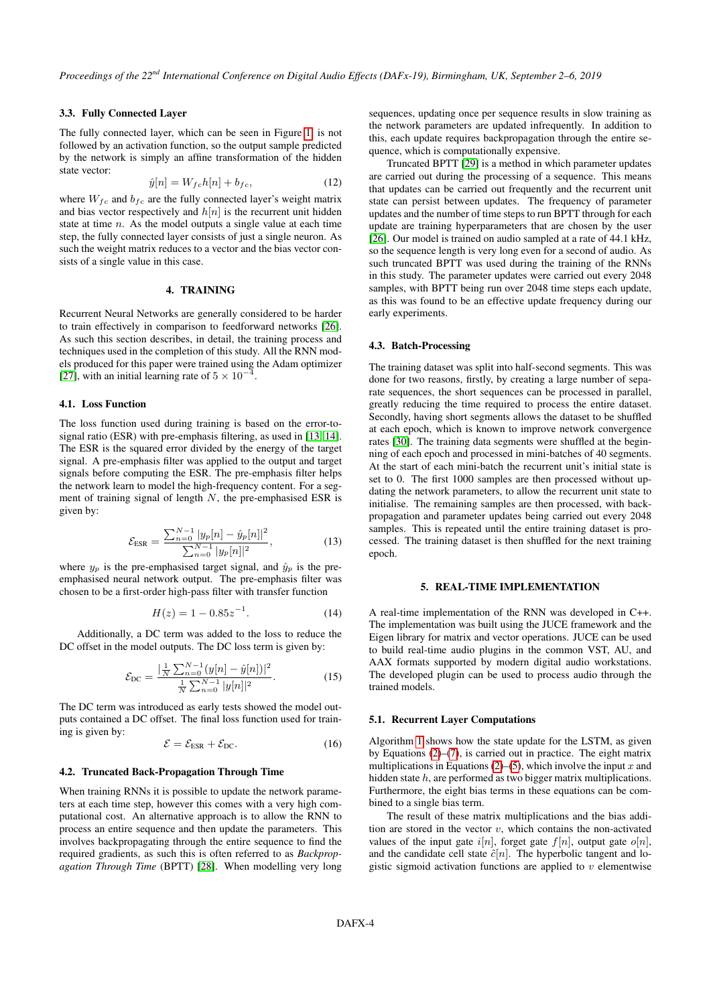## 3.3. Fully Connected Layer

The fully connected layer, which can be seen in Figure [1,](#page-1-2) is not followed by an activation function, so the output sample predicted by the network is simply an affine transformation of the hidden state vector:

$$
\hat{y}[n] = W_{fc}h[n] + b_{fc},\tag{12}
$$

where  $W_{fc}$  and  $b_{fc}$  are the fully connected layer's weight matrix and bias vector respectively and  $h[n]$  is the recurrent unit hidden state at time  $n$ . As the model outputs a single value at each time step, the fully connected layer consists of just a single neuron. As such the weight matrix reduces to a vector and the bias vector consists of a single value in this case.

#### 4. TRAINING

Recurrent Neural Networks are generally considered to be harder to train effectively in comparison to feedforward networks [\[26\]](#page-7-1). As such this section describes, in detail, the training process and techniques used in the completion of this study. All the RNN models produced for this paper were trained using the Adam optimizer [\[27\]](#page-7-2), with an initial learning rate of  $5 \times 10^{-4}$ .

#### 4.1. Loss Function

The loss function used during training is based on the error-tosignal ratio (ESR) with pre-emphasis filtering, as used in [\[13,](#page-6-12) [14\]](#page-6-13). The ESR is the squared error divided by the energy of the target signal. A pre-emphasis filter was applied to the output and target signals before computing the ESR. The pre-emphasis filter helps the network learn to model the high-frequency content. For a segment of training signal of length  $N$ , the pre-emphasised ESR is given by:

$$
\mathcal{E}_{\text{ESR}} = \frac{\sum_{n=0}^{N-1} |y_p[n] - \hat{y}_p[n]|^2}{\sum_{n=0}^{N-1} |y_p[n]|^2},\tag{13}
$$

where  $y_p$  is the pre-emphasised target signal, and  $\hat{y}_p$  is the preemphasised neural network output. The pre-emphasis filter was chosen to be a first-order high-pass filter with transfer function

$$
H(z) = 1 - 0.85z^{-1}.
$$
 (14)

Additionally, a DC term was added to the loss to reduce the DC offset in the model outputs. The DC loss term is given by:

$$
\mathcal{E}_{\text{DC}} = \frac{|\frac{1}{N} \sum_{n=0}^{N-1} (y[n] - \hat{y}[n])|^2}{\frac{1}{N} \sum_{n=0}^{N-1} |y[n]|^2}.
$$
 (15)

The DC term was introduced as early tests showed the model outputs contained a DC offset. The final loss function used for training is given by:

$$
\mathcal{E} = \mathcal{E}_{ESR} + \mathcal{E}_{DC}.
$$
 (16)

#### 4.2. Truncated Back-Propagation Through Time

When training RNNs it is possible to update the network parameters at each time step, however this comes with a very high computational cost. An alternative approach is to allow the RNN to process an entire sequence and then update the parameters. This involves backpropagating through the entire sequence to find the required gradients, as such this is often referred to as *Backpropagation Through Time* (BPTT) [\[28\]](#page-7-3). When modelling very long

sequences, updating once per sequence results in slow training as the network parameters are updated infrequently. In addition to this, each update requires backpropagation through the entire sequence, which is computationally expensive.

Truncated BPTT [\[29\]](#page-7-4) is a method in which parameter updates are carried out during the processing of a sequence. This means that updates can be carried out frequently and the recurrent unit state can persist between updates. The frequency of parameter updates and the number of time steps to run BPTT through for each update are training hyperparameters that are chosen by the user [\[26\]](#page-7-1). Our model is trained on audio sampled at a rate of 44.1 kHz, so the sequence length is very long even for a second of audio. As such truncated BPTT was used during the training of the RNNs in this study. The parameter updates were carried out every 2048 samples, with BPTT being run over 2048 time steps each update, as this was found to be an effective update frequency during our early experiments.

### 4.3. Batch-Processing

The training dataset was split into half-second segments. This was done for two reasons, firstly, by creating a large number of separate sequences, the short sequences can be processed in parallel, greatly reducing the time required to process the entire dataset. Secondly, having short segments allows the dataset to be shuffled at each epoch, which is known to improve network convergence rates [\[30\]](#page-7-5). The training data segments were shuffled at the beginning of each epoch and processed in mini-batches of 40 segments. At the start of each mini-batch the recurrent unit's initial state is set to 0. The first 1000 samples are then processed without updating the network parameters, to allow the recurrent unit state to initialise. The remaining samples are then processed, with backpropagation and parameter updates being carried out every 2048 samples. This is repeated until the entire training dataset is processed. The training dataset is then shuffled for the next training epoch.

### 5. REAL-TIME IMPLEMENTATION

A real-time implementation of the RNN was developed in C++. The implementation was built using the JUCE framework and the Eigen library for matrix and vector operations. JUCE can be used to build real-time audio plugins in the common VST, AU, and AAX formats supported by modern digital audio workstations. The developed plugin can be used to process audio through the trained models.

#### 5.1. Recurrent Layer Computations

Algorithm [1](#page-4-0) shows how the state update for the LSTM, as given by Equations [\(2\)](#page-2-4)–[\(7\)](#page-2-5), is carried out in practice. The eight matrix multiplications in Equations [\(2\)](#page-2-4)–[\(5\)](#page-2-6), which involve the input  $x$  and hidden state h, are performed as two bigger matrix multiplications. Furthermore, the eight bias terms in these equations can be combined to a single bias term.

The result of these matrix multiplications and the bias addition are stored in the vector  $v$ , which contains the non-activated values of the input gate  $i[n]$ , forget gate  $f[n]$ , output gate  $o[n]$ , and the candidate cell state  $\tilde{c}[n]$ . The hyperbolic tangent and logistic sigmoid activation functions are applied to  $v$  elementwise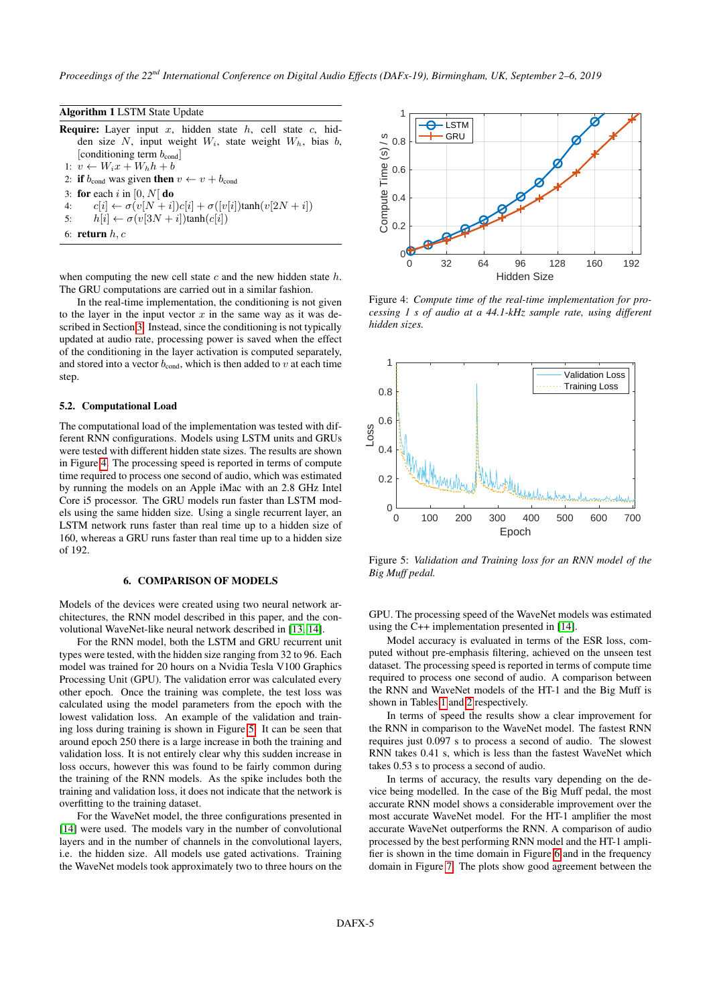<span id="page-4-0"></span>Algorithm 1 LSTM State Update **Require:** Layer input x, hidden state  $h$ , cell state  $c$ , hidden size  $N$ , input weight  $W_i$ , state weight  $W_h$ , bias  $b$ , [conditioning term  $b_{\text{cond}}$ ] 1:  $v \leftarrow W_i x + W_h h + b$ 2: if  $b_{\text{cond}}$  was given then  $v \leftarrow v + b_{\text{cond}}$ 3: for each i in  $[0, N]$  do 4:  $c[i] \leftarrow \sigma(v[N+i])c[i] + \sigma([v[i])\tanh(v[2N+i])$ 5:  $h[i] \leftarrow \sigma(v[3N + i])\tanh(c[i])$ 

6: return  $h, c$ 

when computing the new cell state  $c$  and the new hidden state  $h$ . The GRU computations are carried out in a similar fashion.

In the real-time implementation, the conditioning is not given to the layer in the input vector  $x$  in the same way as it was described in Section [3.](#page-1-3) Instead, since the conditioning is not typically updated at audio rate, processing power is saved when the effect of the conditioning in the layer activation is computed separately, and stored into a vector  $b_{\text{cond}}$ , which is then added to v at each time step.

#### 5.2. Computational Load

The computational load of the implementation was tested with different RNN configurations. Models using LSTM units and GRUs were tested with different hidden state sizes. The results are shown in Figure [4.](#page-4-1) The processing speed is reported in terms of compute time required to process one second of audio, which was estimated by running the models on an Apple iMac with an 2.8 GHz Intel Core i5 processor. The GRU models run faster than LSTM models using the same hidden size. Using a single recurrent layer, an LSTM network runs faster than real time up to a hidden size of 160, whereas a GRU runs faster than real time up to a hidden size of 192.

### 6. COMPARISON OF MODELS

Models of the devices were created using two neural network architectures, the RNN model described in this paper, and the convolutional WaveNet-like neural network described in [\[13,](#page-6-12) [14\]](#page-6-13).

For the RNN model, both the LSTM and GRU recurrent unit types were tested, with the hidden size ranging from 32 to 96. Each model was trained for 20 hours on a Nvidia Tesla V100 Graphics Processing Unit (GPU). The validation error was calculated every other epoch. Once the training was complete, the test loss was calculated using the model parameters from the epoch with the lowest validation loss. An example of the validation and training loss during training is shown in Figure [5.](#page-4-2) It can be seen that around epoch 250 there is a large increase in both the training and validation loss. It is not entirely clear why this sudden increase in loss occurs, however this was found to be fairly common during the training of the RNN models. As the spike includes both the training and validation loss, it does not indicate that the network is overfitting to the training dataset.

For the WaveNet model, the three configurations presented in [\[14\]](#page-6-13) were used. The models vary in the number of convolutional layers and in the number of channels in the convolutional layers, i.e. the hidden size. All models use gated activations. Training the WaveNet models took approximately two to three hours on the

<span id="page-4-1"></span>

Figure 4: *Compute time of the real-time implementation for processing 1 s of audio at a 44.1-kHz sample rate, using different hidden sizes.*

<span id="page-4-2"></span>

Figure 5: *Validation and Training loss for an RNN model of the Big Muff pedal.*

GPU. The processing speed of the WaveNet models was estimated using the C++ implementation presented in [\[14\]](#page-6-13).

Model accuracy is evaluated in terms of the ESR loss, computed without pre-emphasis filtering, achieved on the unseen test dataset. The processing speed is reported in terms of compute time required to process one second of audio. A comparison between the RNN and WaveNet models of the HT-1 and the Big Muff is shown in Tables [1](#page-5-0) and [2](#page-5-1) respectively.

In terms of speed the results show a clear improvement for the RNN in comparison to the WaveNet model. The fastest RNN requires just 0.097 s to process a second of audio. The slowest RNN takes 0.41 s, which is less than the fastest WaveNet which takes 0.53 s to process a second of audio.

In terms of accuracy, the results vary depending on the device being modelled. In the case of the Big Muff pedal, the most accurate RNN model shows a considerable improvement over the most accurate WaveNet model. For the HT-1 amplifier the most accurate WaveNet outperforms the RNN. A comparison of audio processed by the best performing RNN model and the HT-1 amplifier is shown in the time domain in Figure [6](#page-5-2) and in the frequency domain in Figure [7.](#page-5-3) The plots show good agreement between the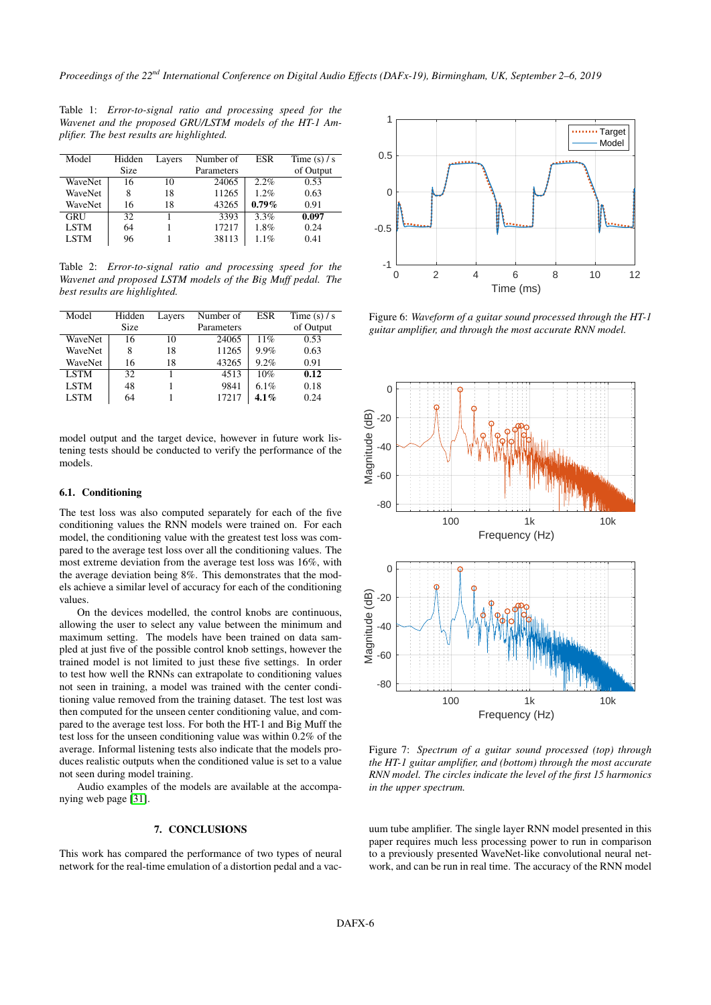<span id="page-5-0"></span>Table 1: *Error-to-signal ratio and processing speed for the Wavenet and the proposed GRU/LSTM models of the HT-1 Amplifier. The best results are highlighted.*

| Model       | Hidden | Layers | Number of  | <b>ESR</b> | Time $(s) / s$ |
|-------------|--------|--------|------------|------------|----------------|
|             | Size   |        | Parameters |            | of Output      |
| WaveNet     | 16     | 10     | 24065      | 2.2%       | 0.53           |
| WaveNet     | 8      | 18     | 11265      | 1.2%       | 0.63           |
| WaveNet     | 16     | 18     | 43265      | $0.79\%$   | 0.91           |
| <b>GRU</b>  | 32     |        | 3393       | 3.3%       | 0.097          |
| <b>LSTM</b> | 64     |        | 17217      | 1.8%       | 0.24           |
| <b>LSTM</b> | 96     |        | 38113      | 1.1%       | 0.41           |

<span id="page-5-1"></span>Table 2: *Error-to-signal ratio and processing speed for the Wavenet and proposed LSTM models of the Big Muff pedal. The best results are highlighted.*

| Model       | Hidden | Layers | Number of  | ESR     | Time $(s) / s$ |
|-------------|--------|--------|------------|---------|----------------|
|             | Size   |        | Parameters |         | of Output      |
| WaveNet     | 16     | 10     | 24065      | 11%     | 0.53           |
| WaveNet     | 8      | 18     | 11265      | 9.9%    | 0.63           |
| WaveNet     | 16     | 18     | 43265      | 9.2%    | 0.91           |
| <b>LSTM</b> | 32     |        | 4513       | 10%     | 0.12           |
| <b>LSTM</b> | 48     |        | 9841       | 6.1%    | 0.18           |
| <b>LSTM</b> | 64     |        | 17217      | $4.1\%$ | 0.24           |
|             |        |        |            |         |                |

model output and the target device, however in future work listening tests should be conducted to verify the performance of the models.

## 6.1. Conditioning

The test loss was also computed separately for each of the five conditioning values the RNN models were trained on. For each model, the conditioning value with the greatest test loss was compared to the average test loss over all the conditioning values. The most extreme deviation from the average test loss was 16%, with the average deviation being 8%. This demonstrates that the models achieve a similar level of accuracy for each of the conditioning values.

On the devices modelled, the control knobs are continuous, allowing the user to select any value between the minimum and maximum setting. The models have been trained on data sampled at just five of the possible control knob settings, however the trained model is not limited to just these five settings. In order to test how well the RNNs can extrapolate to conditioning values not seen in training, a model was trained with the center conditioning value removed from the training dataset. The test lost was then computed for the unseen center conditioning value, and compared to the average test loss. For both the HT-1 and Big Muff the test loss for the unseen conditioning value was within 0.2% of the average. Informal listening tests also indicate that the models produces realistic outputs when the conditioned value is set to a value not seen during model training.

Audio examples of the models are available at the accompanying web page [\[31\]](#page-7-6).

### 7. CONCLUSIONS

This work has compared the performance of two types of neural network for the real-time emulation of a distortion pedal and a vac-

<span id="page-5-2"></span>

Figure 6: *Waveform of a guitar sound processed through the HT-1 guitar amplifier, and through the most accurate RNN model.*

<span id="page-5-3"></span>

Figure 7: *Spectrum of a guitar sound processed (top) through the HT-1 guitar amplifier, and (bottom) through the most accurate RNN model. The circles indicate the level of the first 15 harmonics in the upper spectrum.*

uum tube amplifier. The single layer RNN model presented in this paper requires much less processing power to run in comparison to a previously presented WaveNet-like convolutional neural network, and can be run in real time. The accuracy of the RNN model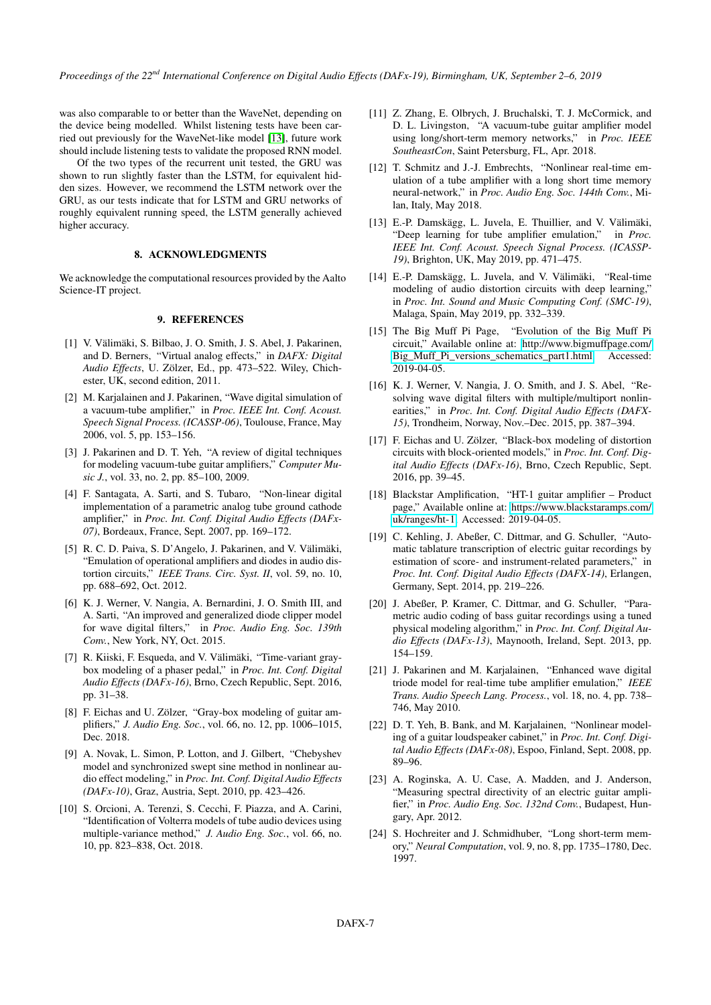was also comparable to or better than the WaveNet, depending on the device being modelled. Whilst listening tests have been carried out previously for the WaveNet-like model [\[13\]](#page-6-12), future work should include listening tests to validate the proposed RNN model.

Of the two types of the recurrent unit tested, the GRU was shown to run slightly faster than the LSTM, for equivalent hidden sizes. However, we recommend the LSTM network over the GRU, as our tests indicate that for LSTM and GRU networks of roughly equivalent running speed, the LSTM generally achieved higher accuracy.

## 8. ACKNOWLEDGMENTS

We acknowledge the computational resources provided by the Aalto Science-IT project.

## 9. REFERENCES

- <span id="page-6-0"></span>[1] V. Välimäki, S. Bilbao, J. O. Smith, J. S. Abel, J. Pakarinen, and D. Berners, "Virtual analog effects," in *DAFX: Digital Audio Effects*, U. Zölzer, Ed., pp. 473–522. Wiley, Chichester, UK, second edition, 2011.
- <span id="page-6-1"></span>[2] M. Karjalainen and J. Pakarinen, "Wave digital simulation of a vacuum-tube amplifier," in *Proc. IEEE Int. Conf. Acoust. Speech Signal Process. (ICASSP-06)*, Toulouse, France, May 2006, vol. 5, pp. 153–156.
- <span id="page-6-2"></span>[3] J. Pakarinen and D. T. Yeh, "A review of digital techniques for modeling vacuum-tube guitar amplifiers," *Computer Music J.*, vol. 33, no. 2, pp. 85–100, 2009.
- <span id="page-6-3"></span>[4] F. Santagata, A. Sarti, and S. Tubaro, "Non-linear digital implementation of a parametric analog tube ground cathode amplifier," in *Proc. Int. Conf. Digital Audio Effects (DAFx-07)*, Bordeaux, France, Sept. 2007, pp. 169–172.
- <span id="page-6-4"></span>[5] R. C. D. Paiva, S. D'Angelo, J. Pakarinen, and V. Välimäki, "Emulation of operational amplifiers and diodes in audio distortion circuits," *IEEE Trans. Circ. Syst. II*, vol. 59, no. 10, pp. 688–692, Oct. 2012.
- <span id="page-6-5"></span>[6] K. J. Werner, V. Nangia, A. Bernardini, J. O. Smith III, and A. Sarti, "An improved and generalized diode clipper model for wave digital filters," in *Proc. Audio Eng. Soc. 139th Conv.*, New York, NY, Oct. 2015.
- <span id="page-6-6"></span>[7] R. Kiiski, F. Esqueda, and V. Välimäki, "Time-variant graybox modeling of a phaser pedal," in *Proc. Int. Conf. Digital Audio Effects (DAFx-16)*, Brno, Czech Republic, Sept. 2016, pp. 31–38.
- <span id="page-6-7"></span>[8] F. Eichas and U. Zölzer, "Gray-box modeling of guitar amplifiers," *J. Audio Eng. Soc.*, vol. 66, no. 12, pp. 1006–1015, Dec. 2018.
- <span id="page-6-8"></span>[9] A. Novak, L. Simon, P. Lotton, and J. Gilbert, "Chebyshev model and synchronized swept sine method in nonlinear audio effect modeling," in *Proc. Int. Conf. Digital Audio Effects (DAFx-10)*, Graz, Austria, Sept. 2010, pp. 423–426.
- <span id="page-6-9"></span>[10] S. Orcioni, A. Terenzi, S. Cecchi, F. Piazza, and A. Carini, "Identification of Volterra models of tube audio devices using multiple-variance method," *J. Audio Eng. Soc.*, vol. 66, no. 10, pp. 823–838, Oct. 2018.
- <span id="page-6-10"></span>[11] Z. Zhang, E. Olbrych, J. Bruchalski, T. J. McCormick, and D. L. Livingston, "A vacuum-tube guitar amplifier model using long/short-term memory networks," in *Proc. IEEE SoutheastCon*, Saint Petersburg, FL, Apr. 2018.
- <span id="page-6-11"></span>[12] T. Schmitz and J.-J. Embrechts, "Nonlinear real-time emulation of a tube amplifier with a long short time memory neural-network," in *Proc. Audio Eng. Soc. 144th Conv.*, Milan, Italy, May 2018.
- <span id="page-6-12"></span>[13] E.-P. Damskägg, L. Juvela, E. Thuillier, and V. Välimäki, "Deep learning for tube amplifier emulation," in *Proc. IEEE Int. Conf. Acoust. Speech Signal Process. (ICASSP-19)*, Brighton, UK, May 2019, pp. 471–475.
- <span id="page-6-13"></span>[14] E.-P. Damskägg, L. Juvela, and V. Välimäki, "Real-time modeling of audio distortion circuits with deep learning," in *Proc. Int. Sound and Music Computing Conf. (SMC-19)*, Malaga, Spain, May 2019, pp. 332–339.
- <span id="page-6-14"></span>[15] The Big Muff Pi Page, "Evolution of the Big Muff Pi circuit," Available online at: [http://www.bigmuffpage.com/](http://www.bigmuffpage.com/Big_Muff_Pi_versions_schematics_part1.html) [Big\\_Muff\\_Pi\\_versions\\_schematics\\_part1.html,](http://www.bigmuffpage.com/Big_Muff_Pi_versions_schematics_part1.html) Accessed: 2019-04-05.
- <span id="page-6-15"></span>[16] K. J. Werner, V. Nangia, J. O. Smith, and J. S. Abel, "Resolving wave digital filters with multiple/multiport nonlinearities," in *Proc. Int. Conf. Digital Audio Effects (DAFX-15)*, Trondheim, Norway, Nov.–Dec. 2015, pp. 387–394.
- <span id="page-6-16"></span>[17] F. Eichas and U. Zölzer, "Black-box modeling of distortion circuits with block-oriented models," in *Proc. Int. Conf. Digital Audio Effects (DAFx-16)*, Brno, Czech Republic, Sept. 2016, pp. 39–45.
- <span id="page-6-17"></span>[18] Blackstar Amplification, "HT-1 guitar amplifier – Product page," Available online at: [https://www.blackstaramps.com/](https://www.blackstaramps.com/uk/ranges/ht-1) [uk/ranges/ht-1,](https://www.blackstaramps.com/uk/ranges/ht-1) Accessed: 2019-04-05.
- <span id="page-6-18"></span>[19] C. Kehling, J. Abeßer, C. Dittmar, and G. Schuller, "Automatic tablature transcription of electric guitar recordings by estimation of score- and instrument-related parameters," in *Proc. Int. Conf. Digital Audio Effects (DAFX-14)*, Erlangen, Germany, Sept. 2014, pp. 219–226.
- <span id="page-6-19"></span>[20] J. Abeßer, P. Kramer, C. Dittmar, and G. Schuller, "Parametric audio coding of bass guitar recordings using a tuned physical modeling algorithm," in *Proc. Int. Conf. Digital Audio Effects (DAFx-13)*, Maynooth, Ireland, Sept. 2013, pp. 154–159.
- <span id="page-6-20"></span>[21] J. Pakarinen and M. Karjalainen, "Enhanced wave digital triode model for real-time tube amplifier emulation," *IEEE Trans. Audio Speech Lang. Process.*, vol. 18, no. 4, pp. 738– 746, May 2010.
- <span id="page-6-21"></span>[22] D. T. Yeh, B. Bank, and M. Karjalainen, "Nonlinear modeling of a guitar loudspeaker cabinet," in *Proc. Int. Conf. Digital Audio Effects (DAFx-08)*, Espoo, Finland, Sept. 2008, pp. 89–96.
- <span id="page-6-22"></span>[23] A. Roginska, A. U. Case, A. Madden, and J. Anderson, "Measuring spectral directivity of an electric guitar amplifier," in *Proc. Audio Eng. Soc. 132nd Conv.*, Budapest, Hungary, Apr. 2012.
- <span id="page-6-23"></span>[24] S. Hochreiter and J. Schmidhuber, "Long short-term memory," *Neural Computation*, vol. 9, no. 8, pp. 1735–1780, Dec. 1997.